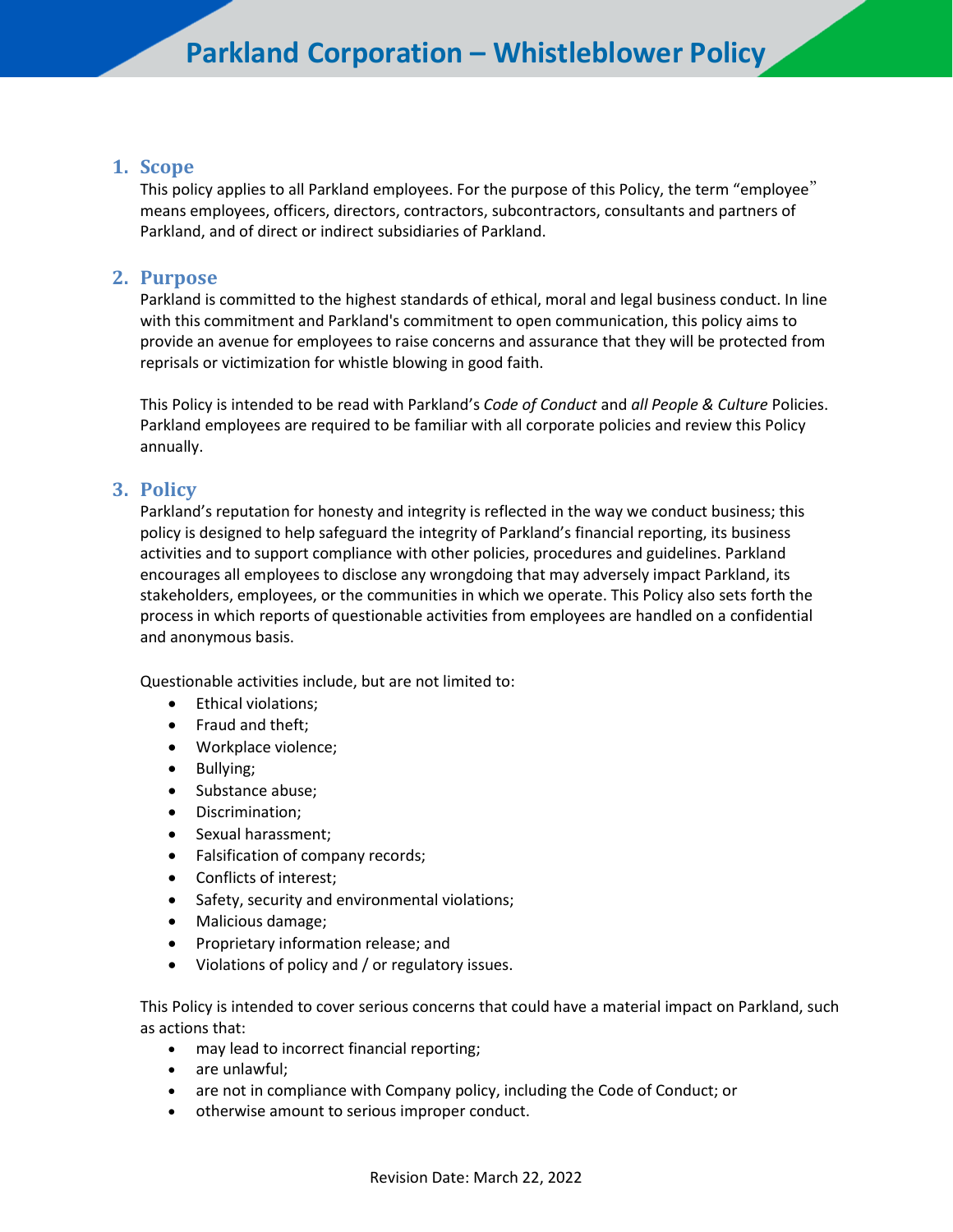### **1. Scope**

This policy applies to all Parkland employees. For the purpose of this Policy, the term "employee" means employees, officers, directors, contractors, subcontractors, consultants and partners of Parkland, and of direct or indirect subsidiaries of Parkland.

### **2. Purpose**

Parkland is committed to the highest standards of ethical, moral and legal business conduct. In line with this commitment and Parkland's commitment to open communication, this policy aims to provide an avenue for employees to raise concerns and assurance that they will be protected from reprisals or victimization for whistle blowing in good faith.

This Policy is intended to be read with Parkland's *Code of Conduct* and *all People & Culture* Policies. Parkland employees are required to be familiar with all corporate policies and review this Policy annually.

## **3. Policy**

Parkland's reputation for honesty and integrity is reflected in the way we conduct business; this policy is designed to help safeguard the integrity of Parkland's financial reporting, its business activities and to support compliance with other policies, procedures and guidelines. Parkland encourages all employees to disclose any wrongdoing that may adversely impact Parkland, its stakeholders, employees, or the communities in which we operate. This Policy also sets forth the process in which reports of questionable activities from employees are handled on a confidential and anonymous basis.

Questionable activities include, but are not limited to:

- Ethical violations;
- Fraud and theft;
- Workplace violence;
- Bullying;
- Substance abuse;
- Discrimination;
- Sexual harassment;
- Falsification of company records;
- Conflicts of interest;
- Safety, security and environmental violations;
- Malicious damage;
- Proprietary information release; and
- Violations of policy and / or regulatory issues.

This Policy is intended to cover serious concerns that could have a material impact on Parkland, such as actions that:

- may lead to incorrect financial reporting;
- are unlawful;
- are not in compliance with Company policy, including the Code of Conduct; or
- otherwise amount to serious improper conduct.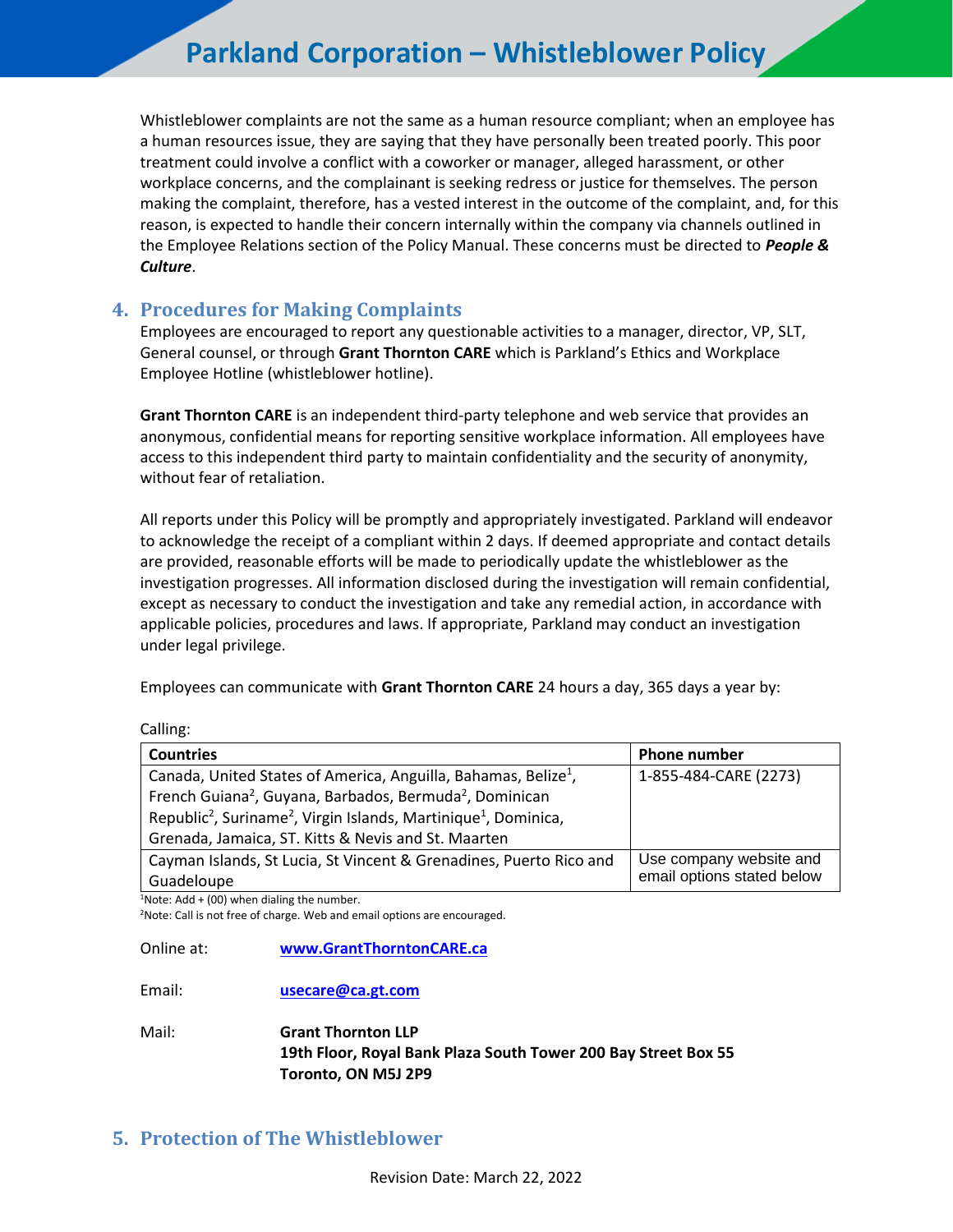## **Parkland Corporation – Whistleblower Policy**

Whistleblower complaints are not the same as a human resource compliant; when an employee has a human resources issue, they are saying that they have personally been treated poorly. This poor treatment could involve a conflict with a coworker or manager, alleged harassment, or other workplace concerns, and the complainant is seeking redress or justice for themselves. The person making the complaint, therefore, has a vested interest in the outcome of the complaint, and, for this reason, is expected to handle their concern internally within the company via channels outlined in the Employee Relations section of the Policy Manual. These concerns must be directed to *People & Culture*.

#### **4. Procedures for Making Complaints**

Employees are encouraged to report any questionable activities to a manager, director, VP, SLT, General counsel, or through **Grant Thornton CARE** which is Parkland's Ethics and Workplace Employee Hotline (whistleblower hotline).

**Grant Thornton CARE** is an independent third-party telephone and web service that provides an anonymous, confidential means for reporting sensitive workplace information. All employees have access to this independent third party to maintain confidentiality and the security of anonymity, without fear of retaliation.

All reports under this Policy will be promptly and appropriately investigated. Parkland will endeavor to acknowledge the receipt of a compliant within 2 days. If deemed appropriate and contact details are provided, reasonable efforts will be made to periodically update the whistleblower as the investigation progresses. All information disclosed during the investigation will remain confidential, except as necessary to conduct the investigation and take any remedial action, in accordance with applicable policies, procedures and laws. If appropriate, Parkland may conduct an investigation under legal privilege.

Employees can communicate with **Grant Thornton CARE** 24 hours a day, 365 days a year by:

| <b>Countries</b>                                                                                    | <b>Phone number</b>        |
|-----------------------------------------------------------------------------------------------------|----------------------------|
| Canada, United States of America, Anguilla, Bahamas, Belize <sup>1</sup> ,                          | 1-855-484-CARE (2273)      |
| French Guiana <sup>2</sup> , Guyana, Barbados, Bermuda <sup>2</sup> , Dominican                     |                            |
| Republic <sup>2</sup> , Suriname <sup>2</sup> , Virgin Islands, Martinique <sup>1</sup> , Dominica, |                            |
| Grenada, Jamaica, ST. Kitts & Nevis and St. Maarten                                                 |                            |
| Cayman Islands, St Lucia, St Vincent & Grenadines, Puerto Rico and                                  | Use company website and    |
| Guadeloupe                                                                                          | email options stated below |

Calling:

 $1$ Note: Add + (00) when dialing the number.

<sup>2</sup>Note: Call is not free of charge. Web and email options are encouraged.

Online at: **[www.GrantThorntonCARE.ca](http://www.grantthorntoncare.ca/)**

Email: **[usecare@ca.gt.com](mailto:usecare@ca.gt.com)**

Mail: **Grant Thornton LLP 19th Floor, Royal Bank Plaza South Tower 200 Bay Street Box 55 Toronto, ON M5J 2P9**

## **5. Protection of The Whistleblower**